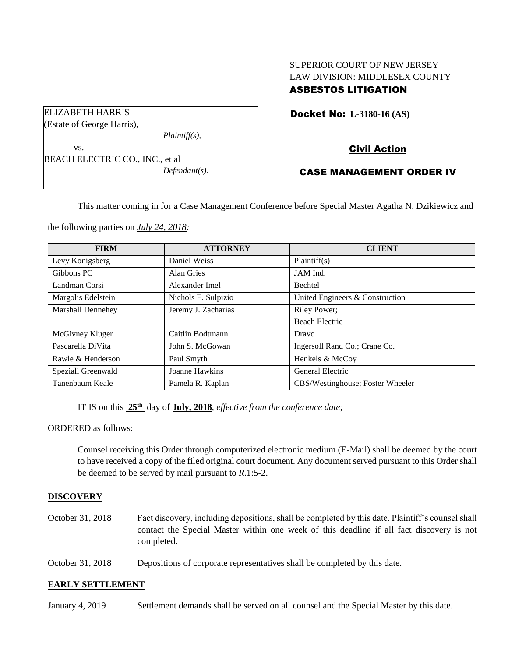# SUPERIOR COURT OF NEW JERSEY LAW DIVISION: MIDDLESEX COUNTY ASBESTOS LITIGATION

Docket No: **L-3180-16 (AS)** 

Civil Action

## CASE MANAGEMENT ORDER IV

This matter coming in for a Case Management Conference before Special Master Agatha N. Dzikiewicz and

the following parties on *July 24, 2018:*

BEACH ELECTRIC CO., INC., et al

*Plaintiff(s),*

*Defendant(s).*

ELIZABETH HARRIS (Estate of George Harris),

vs.

| <b>FIRM</b>              | <b>ATTORNEY</b>     | <b>CLIENT</b>                    |
|--------------------------|---------------------|----------------------------------|
| Levy Konigsberg          | Daniel Weiss        | Plaintiff(s)                     |
| Gibbons PC               | Alan Gries          | JAM Ind.                         |
| Landman Corsi            | Alexander Imel      | <b>Bechtel</b>                   |
| Margolis Edelstein       | Nichols E. Sulpizio | United Engineers & Construction  |
| <b>Marshall Dennehey</b> | Jeremy J. Zacharias | Riley Power;                     |
|                          |                     | <b>Beach Electric</b>            |
| McGivney Kluger          | Caitlin Bodtmann    | Dravo                            |
| Pascarella DiVita        | John S. McGowan     | Ingersoll Rand Co.; Crane Co.    |
| Rawle & Henderson        | Paul Smyth          | Henkels & McCoy                  |
| Speziali Greenwald       | Joanne Hawkins      | General Electric                 |
| Tanenbaum Keale          | Pamela R. Kaplan    | CBS/Westinghouse; Foster Wheeler |

IT IS on this **25th** day of **July, 2018**, *effective from the conference date;*

ORDERED as follows:

Counsel receiving this Order through computerized electronic medium (E-Mail) shall be deemed by the court to have received a copy of the filed original court document. Any document served pursuant to this Order shall be deemed to be served by mail pursuant to *R*.1:5-2.

## **DISCOVERY**

- October 31, 2018 Fact discovery, including depositions, shall be completed by this date. Plaintiff's counsel shall contact the Special Master within one week of this deadline if all fact discovery is not completed.
- October 31, 2018 Depositions of corporate representatives shall be completed by this date.

### **EARLY SETTLEMENT**

January 4, 2019 Settlement demands shall be served on all counsel and the Special Master by this date.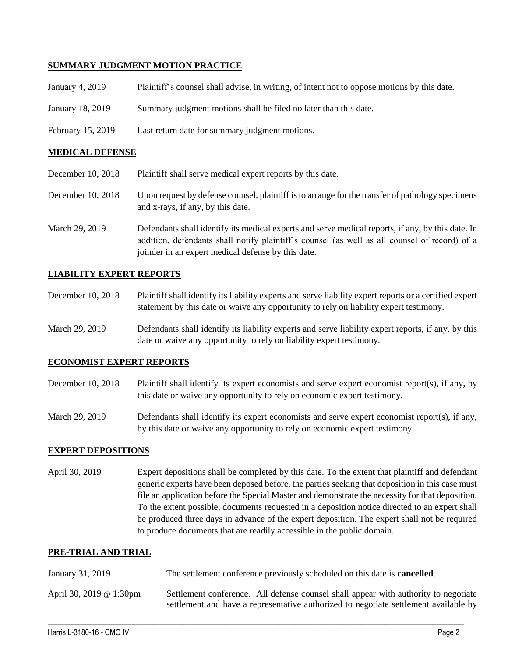## **SUMMARY JUDGMENT MOTION PRACTICE**

| January 4, 2019        | Plaintiff's counsel shall advise, in writing, of intent not to oppose motions by this date. |  |
|------------------------|---------------------------------------------------------------------------------------------|--|
| January 18, 2019       | Summary judgment motions shall be filed no later than this date.                            |  |
| February 15, 2019      | Last return date for summary judgment motions.                                              |  |
| <b>MEDICAL DEFENSE</b> |                                                                                             |  |
|                        |                                                                                             |  |

- December 10, 2018 Plaintiff shall serve medical expert reports by this date.
- December 10, 2018 Upon request by defense counsel, plaintiff is to arrange for the transfer of pathology specimens and x-rays, if any, by this date.
- March 29, 2019 Defendants shall identify its medical experts and serve medical reports, if any, by this date. In addition, defendants shall notify plaintiff's counsel (as well as all counsel of record) of a joinder in an expert medical defense by this date.

## **LIABILITY EXPERT REPORTS**

- December 10, 2018 Plaintiff shall identify its liability experts and serve liability expert reports or a certified expert statement by this date or waive any opportunity to rely on liability expert testimony.
- March 29, 2019 Defendants shall identify its liability experts and serve liability expert reports, if any, by this date or waive any opportunity to rely on liability expert testimony.

### **ECONOMIST EXPERT REPORTS**

- December 10, 2018 Plaintiff shall identify its expert economists and serve expert economist report(s), if any, by this date or waive any opportunity to rely on economic expert testimony.
- March 29, 2019 Defendants shall identify its expert economists and serve expert economist report(s), if any, by this date or waive any opportunity to rely on economic expert testimony.

### **EXPERT DEPOSITIONS**

April 30, 2019 Expert depositions shall be completed by this date. To the extent that plaintiff and defendant generic experts have been deposed before, the parties seeking that deposition in this case must file an application before the Special Master and demonstrate the necessity for that deposition. To the extent possible, documents requested in a deposition notice directed to an expert shall be produced three days in advance of the expert deposition. The expert shall not be required to produce documents that are readily accessible in the public domain.

### **PRE-TRIAL AND TRIAL**

| January 31, 2019        | The settlement conference previously scheduled on this date is <b>cancelled</b> .                                                                                           |  |
|-------------------------|-----------------------------------------------------------------------------------------------------------------------------------------------------------------------------|--|
| April 30, 2019 @ 1:30pm | Settlement conference. All defense counsel shall appear with authority to negotiate<br>settlement and have a representative authorized to negotiate settlement available by |  |

 $\_$  ,  $\_$  ,  $\_$  ,  $\_$  ,  $\_$  ,  $\_$  ,  $\_$  ,  $\_$  ,  $\_$  ,  $\_$  ,  $\_$  ,  $\_$  ,  $\_$  ,  $\_$  ,  $\_$  ,  $\_$  ,  $\_$  ,  $\_$  ,  $\_$  ,  $\_$  ,  $\_$  ,  $\_$  ,  $\_$  ,  $\_$  ,  $\_$  ,  $\_$  ,  $\_$  ,  $\_$  ,  $\_$  ,  $\_$  ,  $\_$  ,  $\_$  ,  $\_$  ,  $\_$  ,  $\_$  ,  $\_$  ,  $\_$  ,